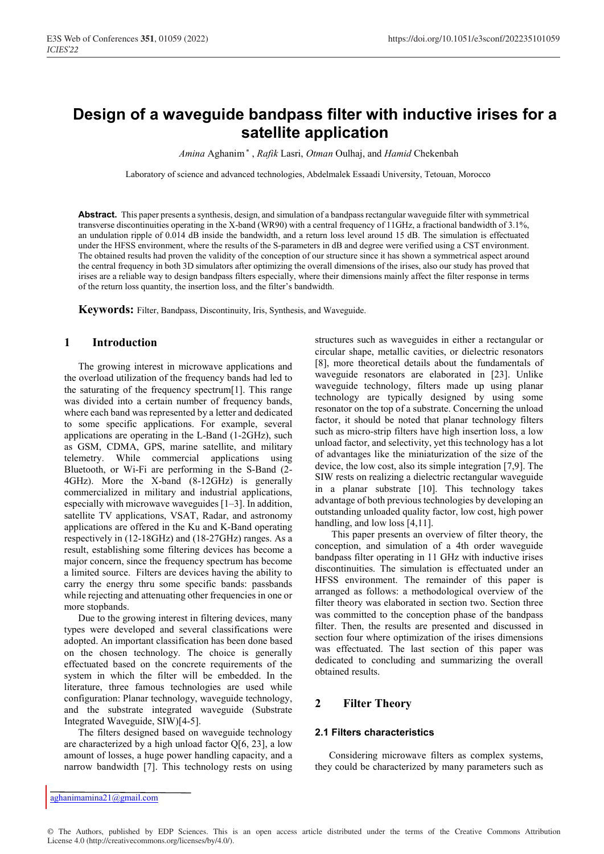# **Design of a waveguide bandpass filter with inductive irises for a satellite application**

Amina Aghanim<sup>\*</sup>, Rafik Lasri, Otman Oulhaj, and *Hamid* Chekenbah

Laboratory of science and advanced technologies, Abdelmalek Essaadi University, Tetouan, Morocco

**Abstract.** This paper presents a synthesis, design, and simulation of a bandpass rectangular waveguide filter with symmetrical transverse discontinuities operating in the X-band (WR90) with a central frequency of 11GHz, a fractional bandwidth of 3.1%, an undulation ripple of 0.014 dB inside the bandwidth, and a return loss level around 15 dB. The simulation is effectuated under the HFSS environment, where the results of the S-parameters in dB and degree were verified using a CST environment. The obtained results had proven the validity of the conception of our structure since it has shown a symmetrical aspect around the central frequency in both 3D simulators after optimizing the overall dimensions of the irises, also our study has proved that irises are a reliable way to design bandpass filters especially, where their dimensions mainly affect the filter response in terms of the return loss quantity, the insertion loss, and the filter's bandwidth.

**Keywords:** Filter, Bandpass, Discontinuity, Iris, Synthesis, and Waveguide.

## **1 Introduction**

The growing interest in microwave applications and the overload utilization of the frequency bands had led to the saturating of the frequency spectrum[1]. This range was divided into a certain number of frequency bands, where each band was represented by a letter and dedicated to some specific applications. For example, several applications are operating in the L-Band (1-2GHz), such as GSM, CDMA, GPS, marine satellite, and military telemetry. While commercial applications using Bluetooth, or Wi-Fi are performing in the S-Band (2- 4GHz). More the X-band (8-12GHz) is generally commercialized in military and industrial applications, especially with microwave waveguides [1–3]. In addition, satellite TV applications, VSAT, Radar, and astronomy applications are offered in the Ku and K-Band operating respectively in (12-18GHz) and (18-27GHz) ranges. As a result, establishing some filtering devices has become a major concern, since the frequency spectrum has become a limited source. Filters are devices having the ability to carry the energy thru some specific bands: passbands while rejecting and attenuating other frequencies in one or more stopbands.

Due to the growing interest in filtering devices, many types were developed and several classifications were adopted. An important classification has been done based on the chosen technology. The choice is generally effectuated based on the concrete requirements of the system in which the filter will be embedded. In the literature, three famous technologies are used while configuration: Planar technology, waveguide technology, and the substrate integrated waveguide (Substrate Integrated Waveguide, SIW)[4-5].

The filters designed based on waveguide technology are characterized by a high unload factor  $Q[6, 23]$ , a low amount of losses, a huge power handling capacity, and a narrow bandwidth [7]. This technology rests on using structures such as waveguides in either a rectangular or circular shape, metallic cavities, or dielectric resonators [8], more theoretical details about the fundamentals of waveguide resonators are elaborated in [23]. Unlike waveguide technology, filters made up using planar technology are typically designed by using some resonator on the top of a substrate. Concerning the unload factor, it should be noted that planar technology filters such as micro-strip filters have high insertion loss, a low unload factor, and selectivity, yet this technology has a lot of advantages like the miniaturization of the size of the device, the low cost, also its simple integration [7,9]. The SIW rests on realizing a dielectric rectangular waveguide in a planar substrate [10]. This technology takes advantage of both previous technologies by developing an outstanding unloaded quality factor, low cost, high power handling, and low loss [4,11].

This paper presents an overview of filter theory, the conception, and simulation of a 4th order waveguide bandpass filter operating in 11 GHz with inductive irises discontinuities. The simulation is effectuated under an HFSS environment. The remainder of this paper is arranged as follows: a methodological overview of the filter theory was elaborated in section two. Section three was committed to the conception phase of the bandpass filter. Then, the results are presented and discussed in section four where optimization of the irises dimensions was effectuated. The last section of this paper was dedicated to concluding and summarizing the overall obtained results.

# **2 Filter Theory**

## **2.1 Filters characteristics**

Considering microwave filters as complex systems, they could be characterized by many parameters such as

© The Authors, published by EDP Sciences. This is an open access article distributed under the terms of the Creative Commons Attribution License 4.0 (http://creativecommons.org/licenses/by/4.0/).

aghanimamina21@gmail.com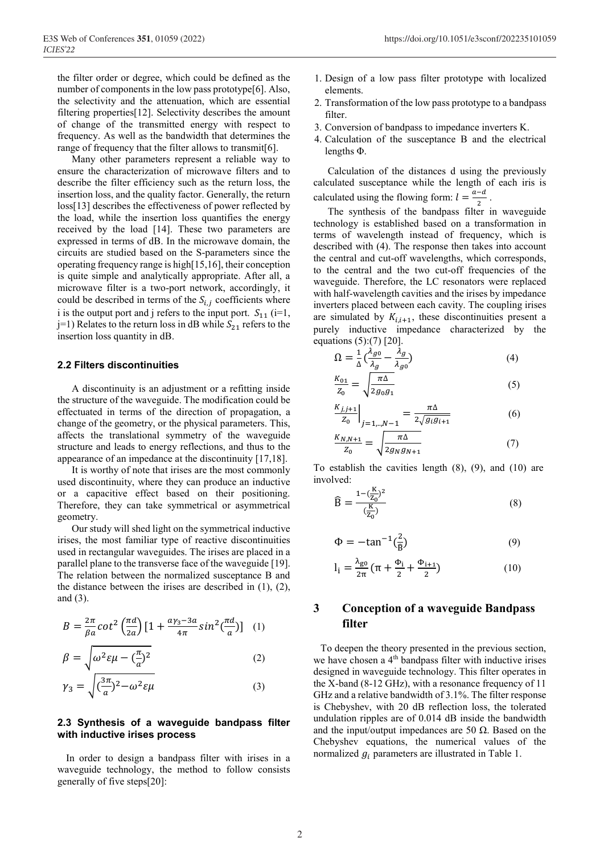the filter order or degree, which could be defined as the number of components in the low pass prototype<sup>[6]</sup>. Also, the selectivity and the attenuation, which are essential filtering properties[12]. Selectivity describes the amount of change of the transmitted energy with respect to frequency. As well as the bandwidth that determines the range of frequency that the filter allows to transmit[6].

Many other parameters represent a reliable way to ensure the characterization of microwave filters and to describe the filter efficiency such as the return loss, the insertion loss, and the quality factor. Generally, the return loss[13] describes the effectiveness of power reflected by the load, while the insertion loss quantifies the energy received by the load [14]. These two parameters are expressed in terms of dB. In the microwave domain, the circuits are studied based on the S-parameters since the operating frequency range is high[15,16], their conception is quite simple and analytically appropriate. After all, a microwave filter is a two-port network, accordingly, it could be described in terms of the  $S_{i,j}$  coefficients where i is the output port and j refers to the input port.  $S_{11}$  (i=1,  $j=1$ ) Relates to the return loss in dB while  $S_{21}$  refers to the insertion loss quantity in dB.

#### **2.2 Filters discontinuities**

A discontinuity is an adjustment or a refitting inside the structure of the waveguide. The modification could be effectuated in terms of the direction of propagation, a change of the geometry, or the physical parameters. This, affects the translational symmetry of the waveguide structure and leads to energy reflections, and thus to the appearance of an impedance at the discontinuity [17,18].

It is worthy of note that irises are the most commonly used discontinuity, where they can produce an inductive or a capacitive effect based on their positioning. Therefore, they can take symmetrical or asymmetrical geometry.

Our study will shed light on the symmetrical inductive irises, the most familiar type of reactive discontinuities used in rectangular waveguides. The irises are placed in a parallel plane to the transverse face of the waveguide [19]. The relation between the normalized susceptance B and the distance between the irises are described in (1), (2), and (3).

$$
B = \frac{2\pi}{\beta a} \cot^2 \left(\frac{\pi d}{2a}\right) \left[1 + \frac{a\gamma_3 - 3a}{4\pi} \sin^2 \left(\frac{\pi d}{a}\right)\right] \tag{1}
$$

$$
\beta = \sqrt{\omega^2 \varepsilon \mu - \left(\frac{\pi}{a}\right)^2} \tag{2}
$$

$$
\gamma_3 = \sqrt{(\frac{3\pi}{a})^2 - \omega^2 \epsilon \mu} \tag{3}
$$

#### **2.3 Synthesis of a waveguide bandpass filter with inductive irises process**

In order to design a bandpass filter with irises in a waveguide technology, the method to follow consists generally of five steps[20]:

- 1. Design of a low pass filter prototype with localized elements.
- 2. Transformation of the low pass prototype to a bandpass filter.
- 3. Conversion of bandpass to impedance inverters K.
- 4. Calculation of the susceptance B and the electrical lengths Φ.

Calculation of the distances d using the previously calculated susceptance while the length of each iris is calculated using the flowing form:  $l = \frac{a-d}{2}$ .

The synthesis of the bandpass filter in waveguide technology is established based on a transformation in terms of wavelength instead of frequency, which is described with (4). The response then takes into account the central and cut-off wavelengths, which corresponds, to the central and the two cut-off frequencies of the waveguide. Therefore, the LC resonators were replaced with half-wavelength cavities and the irises by impedance inverters placed between each cavity. The coupling irises are simulated by  $K_{i,i+1}$ , these discontinuities present a purely inductive impedance characterized by the equations (5):(7) [20].

$$
\Omega = \frac{1}{\Delta} \left( \frac{\lambda_{g0}}{\lambda_g} - \frac{\lambda_g}{\lambda_{g0}} \right)
$$
\n
$$
K_{01} = \begin{bmatrix} \pi \Delta \end{bmatrix}
$$
\n(4)

$$
\frac{\kappa_{01}}{Z_0} = \sqrt{\frac{\pi \Delta}{2g_0 g_1}}
$$
 (5)

$$
\left. \frac{K_{j,j+1}}{Z_0} \right|_{j=1,\dots,N-1} = \frac{\pi \Delta}{2\sqrt{g_i g_{i+1}}} \tag{6}
$$

$$
\frac{K_{N,N+1}}{Z_0} = \sqrt{\frac{\pi \Delta}{2g_N g_{N+1}}} \tag{7}
$$

To establish the cavities length (8), (9), and (10) are involved:

$$
\widehat{B} = \frac{1 - (\frac{K}{Z_0})^2}{(\frac{K}{Z_0})^2}
$$
 (8)

$$
\Phi = -\tan^{-1}\left(\frac{2}{\widehat{B}}\right) \tag{9}
$$

$$
l_i = \frac{\lambda_{g0}}{2\pi} \left( \pi + \frac{\Phi_i}{2} + \frac{\Phi_{i+1}}{2} \right)
$$
 (10)

# **3 Conception of a waveguide Bandpass filter**

To deepen the theory presented in the previous section, we have chosen a 4<sup>th</sup> bandpass filter with inductive irises designed in waveguide technology. This filter operates in the X-band (8-12 GHz), with a resonance frequency of 11 GHz and a relative bandwidth of 3.1%. The filter response is Chebyshev, with 20 dB reflection loss, the tolerated undulation ripples are of 0.014 dB inside the bandwidth and the input/output impedances are 50  $\Omega$ . Based on the Chebyshev equations, the numerical values of the normalized  $q_i$  parameters are illustrated in Table 1.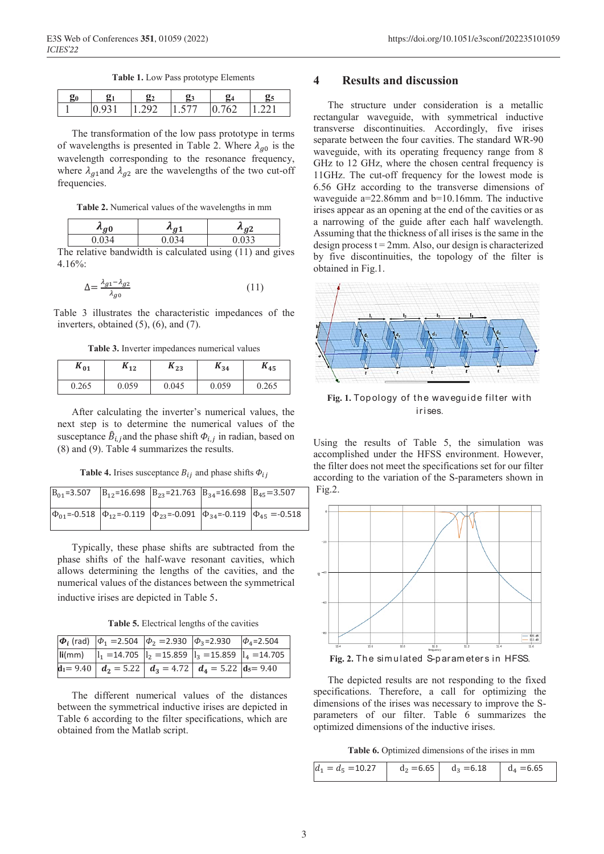**Table 1.** Low Pass prototype Elements

|  | 7 u | ◡ |  |
|--|-----|---|--|

The transformation of the low pass prototype in terms of wavelengths is presented in Table 2. Where  $\lambda_{q0}$  is the wavelength corresponding to the resonance frequency, where  $\lambda_{q1}$  and  $\lambda_{q2}$  are the wavelengths of the two cut-off frequencies.

**Table 2.** Numerical values of the wavelengths in mm

|   | $\sim$ $\sim$ | $\sim$ 1 | $\sim$                          |  |  |
|---|---------------|----------|---------------------------------|--|--|
|   |               | ີ        | $\Omega$                        |  |  |
| ٠ |               | .        | $\cdot$ $\cdot$ $\cdot$ $\cdot$ |  |  |

The relative bandwidth is calculated using (11) and gives 4.16%:

$$
\Delta = \frac{\lambda_{g1} - \lambda_{g2}}{\lambda_{g0}}\tag{11}
$$

Table 3 illustrates the characteristic impedances of the inverters, obtained (5), (6), and (7).

**Table 3.** Inverter impedances numerical values

| $\mathbf{n}_{01}$ | $\mathbf{r}_{12}$ | $\mathbf{r}_{23}$ | $K_{34}$ | $n_{45}$ |
|-------------------|-------------------|-------------------|----------|----------|
| 0.265             | 0.059             | 0.045             | 0.059    | 0.265    |

After calculating the inverter's numerical values, the next step is to determine the numerical values of the susceptance  $\hat{B}_{i,i}$  and the phase shift  $\Phi_{i,i}$  in radian, based on (8) and (9). Table 4 summarizes the results.

**Table 4.** Irises susceptance  $B_{ij}$  and phase shifts  $\Phi_{ij}$ 

|  | $B_{01}$ =3.507 $B_{12}$ =16.698 $B_{23}$ =21.763 $B_{34}$ =16.698 $B_{45}$ =3.507 |                                                                                                     |
|--|------------------------------------------------------------------------------------|-----------------------------------------------------------------------------------------------------|
|  |                                                                                    | $\Phi_{01}$ =-0.518 $\phi_{12}$ =-0.119 $\phi_{23}$ =-0.091 $\phi_{34}$ =-0.119 $\phi_{45}$ =-0.518 |

Typically, these phase shifts are subtracted from the phase shifts of the half-wave resonant cavities, which allows determining the lengths of the cavities, and the numerical values of the distances between the symmetrical inductive irises are depicted in Table 5.

**Table 5.** Electrical lengths of the cavities

|  | $\phi_i$ (rad) $\phi_1$ =2.504 $\phi_2$ =2.930 $\phi_3$ =2.930 $\phi_4$ =2.504 |  |
|--|--------------------------------------------------------------------------------|--|
|  |                                                                                |  |
|  | $d_1 = 9.40$ $d_2 = 5.22$ $d_3 = 4.72$ $d_4 = 5.22$ $d_5 = 9.40$               |  |

The different numerical values of the distances between the symmetrical inductive irises are depicted in Table 6 according to the filter specifications, which are obtained from the Matlab script.

# **4 Results and discussion**

The structure under consideration is a metallic rectangular waveguide, with symmetrical inductive transverse discontinuities. Accordingly, five irises separate between the four cavities. The standard WR-90 waveguide, with its operating frequency range from 8 GHz to 12 GHz, where the chosen central frequency is 11GHz. The cut-off frequency for the lowest mode is 6.56 GHz according to the transverse dimensions of waveguide a=22.86mm and b=10.16mm. The inductive irises appear as an opening at the end of the cavities or as a narrowing of the guide after each half wavelength. Assuming that the thickness of all irises is the same in the design process  $t = 2$ mm. Also, our design is characterized by five discontinuities, the topology of the filter is obtained in Fig.1.



**Fig. 1.** Topology of the waveguide filter with ir ises.

Using the results of Table 5, the simulation was accomplished under the HFSS environment. However, the filter does not meet the specifications set for our filter according to the variation of the S-parameters shown in Fig.2.



Fig. 2. The simulated S-parameters in HFSS.

The depicted results are not responding to the fixed specifications. Therefore, a call for optimizing the dimensions of the irises was necessary to improve the Sparameters of our filter. Table 6 summarizes the optimized dimensions of the inductive irises.

**Table 6.** Optimized dimensions of the irises in mm

| $d_1 = d_5 = 10.27$ $d_2 = 6.65$ $d_3 = 6.18$ $d_4 = 6.65$ |  |  |
|------------------------------------------------------------|--|--|
|                                                            |  |  |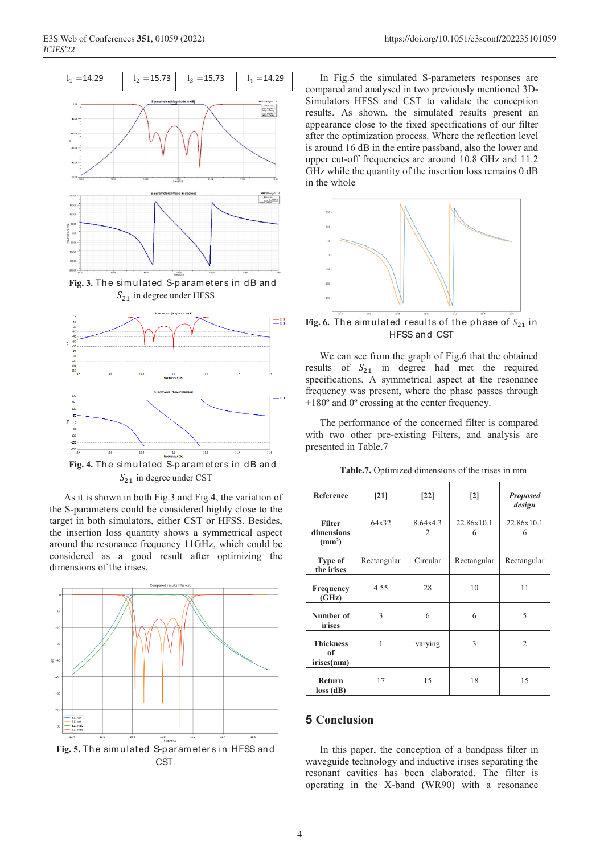

 $S_{21}$  in degree under HFSS



 $S_{21}$  in degree under CST

As it is shown in both Fig.3 and Fig.4, the variation of the S-parameters could be considered highly close to the target in both simulators, either CST or HFSS. Besides, the insertion loss quantity shows a symmetrical aspect around the resonance frequency 11GHz, which could be considered as a good result after optimizing the dimensions of the irises.



CST.

In Fig.5 the simulated S-parameters responses are compared and analysed in two previously mentioned 3D-Simulators HFSS and CST to validate the conception results. As shown, the simulated results present an appearance close to the fixed specifications of our filter after the optimization process. Where the reflection level is around 16 dB in the entire passband, also the lower and upper cut-off frequencies are around 10.8 GHz and 11.2 GHz while the quantity of the insertion loss remains 0 dB in the whole



Fig. 6. The simulated results of the phase of  $S_{21}$  in HFSS and CST

We can see from the graph of Fig.6 that the obtained results of  $S_{21}$  in degree had met the required specifications. A symmetrical aspect at the resonance frequency was present, where the phase passes through ±180º and 0º crossing at the center frequency.

The performance of the concerned filter is compared with two other pre-existing Filters, and analysis are presented in Table.7

**Table.7.** Optimized dimensions of the irises in mm

| <b>Reference</b>                                  | $[21]$      | $[22]$                     | $\lceil 2 \rceil$ | <b>Proposed</b><br>design |
|---------------------------------------------------|-------------|----------------------------|-------------------|---------------------------|
| <b>Filter</b><br>dimensions<br>(mm <sup>2</sup> ) | 64x32       | 8.64x4.3<br>$\mathfrak{D}$ | 22.86x10.1<br>6   | 22.86x10.1<br>6           |
| Type of<br>the irises                             | Rectangular | Circular                   | Rectangular       | Rectangular               |
| <b>Frequency</b><br>(GHz)                         | 4.55        | 28                         | 10                | 11                        |
| Number of<br><i>irises</i>                        | 3           | 6                          | 6                 | 5                         |
| <b>Thickness</b><br>of<br>irises(mm)              | 1           | varying                    | 3                 | 2                         |
| Return<br>$loss$ (dB)                             | 17          | 15                         | 18                | 15                        |

## **5 Conclusion**

In this paper, the conception of a bandpass filter in waveguide technology and inductive irises separating the resonant cavities has been elaborated. The filter is operating in the X-band (WR90) with a resonance